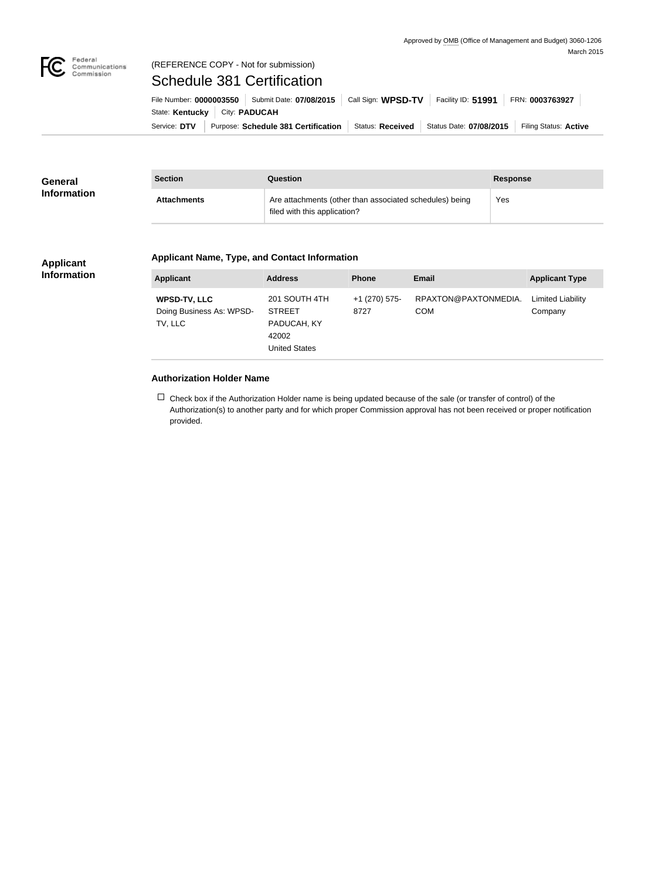

# Federal<br>Communications<br>Commission

# (REFERENCE COPY - Not for submission) Schedule 381 Certification

Service: DTV Purpose: Schedule 381 Certification Status: Received Status Date: 07/08/2015 Filing Status: Active State: **Kentucky** City: **PADUCAH** File Number: **0000003550** Submit Date: **07/08/2015** Call Sign: **WPSD-TV** Facility ID: **51991** FRN: **0003763927**

| <b>General</b><br><b>Information</b> | <b>Section</b>     | <b>Question</b>                                                                         | <b>Response</b> |
|--------------------------------------|--------------------|-----------------------------------------------------------------------------------------|-----------------|
|                                      | <b>Attachments</b> | Are attachments (other than associated schedules) being<br>filed with this application? | Yes             |

#### **Applicant Information**

### **Applicant Name, Type, and Contact Information**

| <b>Applicant</b>                                    | <b>Address</b>                                                                 | <b>Phone</b>          | Email                              | <b>Applicant Type</b>               |
|-----------------------------------------------------|--------------------------------------------------------------------------------|-----------------------|------------------------------------|-------------------------------------|
| WPSD-TV, LLC<br>Doing Business As: WPSD-<br>TV, LLC | 201 SOUTH 4TH<br><b>STREET</b><br>PADUCAH, KY<br>42002<br><b>United States</b> | +1 (270) 575-<br>8727 | RPAXTON@PAXTONMEDIA.<br><b>COM</b> | <b>Limited Liability</b><br>Company |

## **Authorization Holder Name**

 $\Box$  Check box if the Authorization Holder name is being updated because of the sale (or transfer of control) of the Authorization(s) to another party and for which proper Commission approval has not been received or proper notification provided.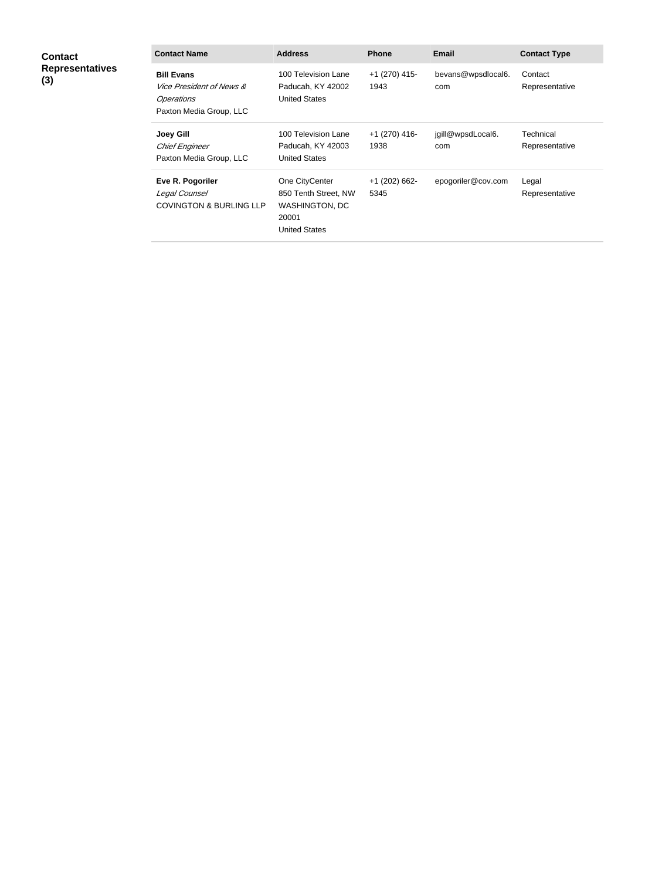| <b>Contact</b><br><b>Representatives</b><br>(3) | <b>Contact Name</b>                                                                                      | <b>Address</b>                                                                                   | <b>Phone</b>            | <b>Email</b>              | <b>Contact Type</b>         |
|-------------------------------------------------|----------------------------------------------------------------------------------------------------------|--------------------------------------------------------------------------------------------------|-------------------------|---------------------------|-----------------------------|
|                                                 | <b>Bill Evans</b><br><i>Vice President of News &amp;</i><br><b>Operations</b><br>Paxton Media Group, LLC | 100 Television Lane<br>Paducah, KY 42002<br><b>United States</b>                                 | $+1$ (270) 415-<br>1943 | bevans@wpsdlocal6.<br>com | Contact<br>Representative   |
|                                                 | <b>Joey Gill</b><br><b>Chief Engineer</b><br>Paxton Media Group, LLC                                     | 100 Television Lane<br>Paducah, KY 42003<br><b>United States</b>                                 | $+1$ (270) 416-<br>1938 | jgill@wpsdLocal6.<br>com  | Technical<br>Representative |
|                                                 | Eve R. Pogoriler<br>Legal Counsel<br><b>COVINGTON &amp; BURLING LLP</b>                                  | One CityCenter<br>850 Tenth Street, NW<br><b>WASHINGTON, DC</b><br>20001<br><b>United States</b> | $+1$ (202) 662-<br>5345 | epogoriler@cov.com        | Legal<br>Representative     |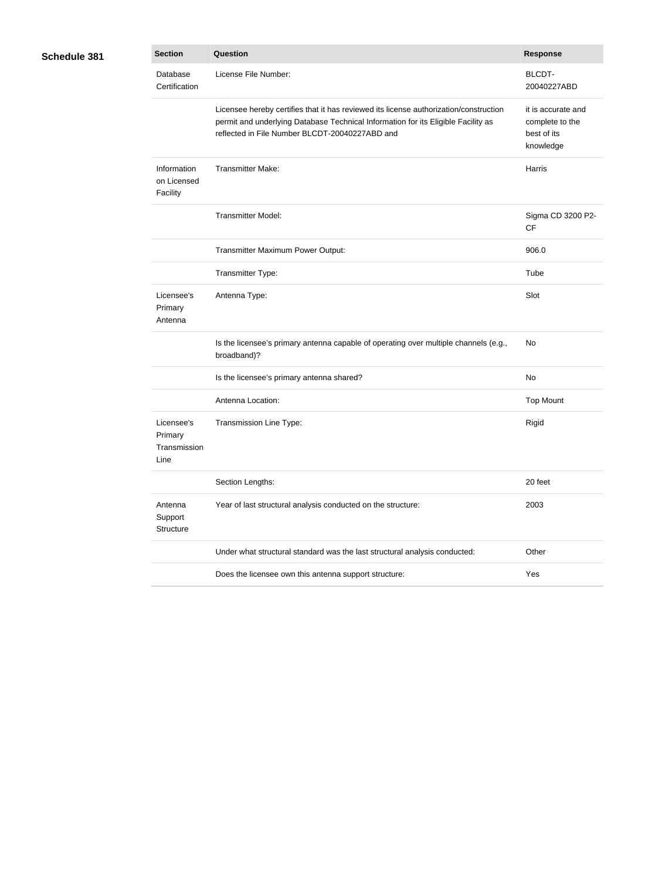| <b>Section</b>                                | <b>Question</b>                                                                                                                                                                                                              | <b>Response</b>                                                   |
|-----------------------------------------------|------------------------------------------------------------------------------------------------------------------------------------------------------------------------------------------------------------------------------|-------------------------------------------------------------------|
| Database<br>Certification                     | License File Number:                                                                                                                                                                                                         | <b>BLCDT-</b><br>20040227ABD                                      |
|                                               | Licensee hereby certifies that it has reviewed its license authorization/construction<br>permit and underlying Database Technical Information for its Eligible Facility as<br>reflected in File Number BLCDT-20040227ABD and | it is accurate and<br>complete to the<br>best of its<br>knowledge |
| Information<br>on Licensed<br>Facility        | <b>Transmitter Make:</b>                                                                                                                                                                                                     | Harris                                                            |
|                                               | <b>Transmitter Model:</b>                                                                                                                                                                                                    | Sigma CD 3200 P2-<br><b>CF</b>                                    |
|                                               | Transmitter Maximum Power Output:                                                                                                                                                                                            | 906.0                                                             |
|                                               | Transmitter Type:                                                                                                                                                                                                            | Tube                                                              |
| Licensee's<br>Primary<br>Antenna              | Antenna Type:                                                                                                                                                                                                                | Slot                                                              |
|                                               | Is the licensee's primary antenna capable of operating over multiple channels (e.g.,<br>broadband)?                                                                                                                          | <b>No</b>                                                         |
|                                               | Is the licensee's primary antenna shared?                                                                                                                                                                                    | No                                                                |
|                                               | Antenna Location:                                                                                                                                                                                                            | <b>Top Mount</b>                                                  |
| Licensee's<br>Primary<br>Transmission<br>Line | Transmission Line Type:                                                                                                                                                                                                      | Rigid                                                             |
|                                               | Section Lengths:                                                                                                                                                                                                             | 20 feet                                                           |
| Antenna<br>Support<br>Structure               | Year of last structural analysis conducted on the structure:                                                                                                                                                                 | 2003                                                              |
|                                               | Under what structural standard was the last structural analysis conducted:                                                                                                                                                   | Other                                                             |
|                                               | Does the licensee own this antenna support structure:                                                                                                                                                                        | Yes                                                               |

**Schedule 381**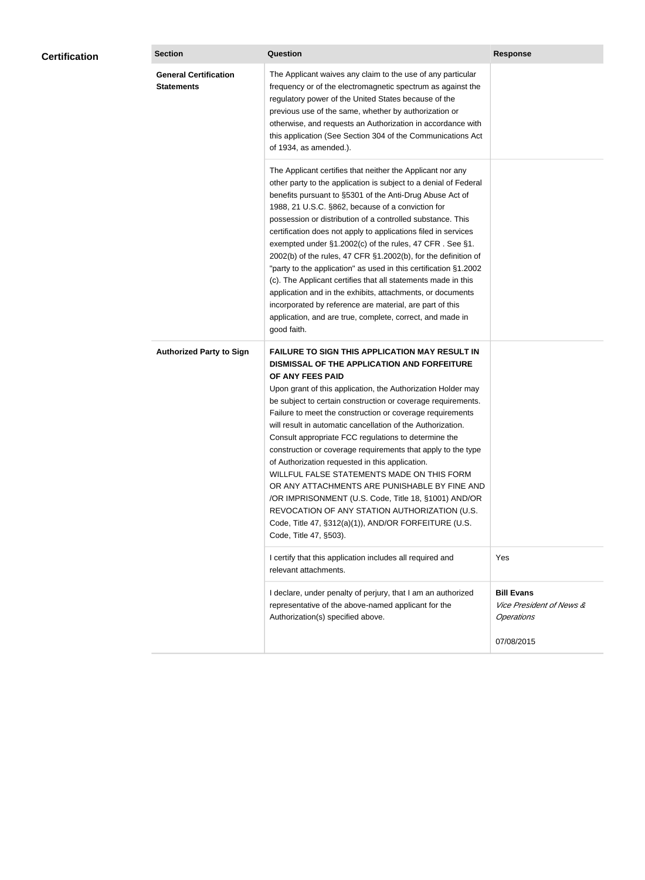| <b>Certification</b> | <b>Section</b>                                    | Question                                                                                                                                                                                                                                                                                                                                                                                                                                                                                                                                                                                                                                                                                                                                                                                                                                                  | <b>Response</b>                                                               |
|----------------------|---------------------------------------------------|-----------------------------------------------------------------------------------------------------------------------------------------------------------------------------------------------------------------------------------------------------------------------------------------------------------------------------------------------------------------------------------------------------------------------------------------------------------------------------------------------------------------------------------------------------------------------------------------------------------------------------------------------------------------------------------------------------------------------------------------------------------------------------------------------------------------------------------------------------------|-------------------------------------------------------------------------------|
|                      | <b>General Certification</b><br><b>Statements</b> | The Applicant waives any claim to the use of any particular<br>frequency or of the electromagnetic spectrum as against the<br>regulatory power of the United States because of the<br>previous use of the same, whether by authorization or<br>otherwise, and requests an Authorization in accordance with<br>this application (See Section 304 of the Communications Act<br>of 1934, as amended.).                                                                                                                                                                                                                                                                                                                                                                                                                                                       |                                                                               |
|                      |                                                   | The Applicant certifies that neither the Applicant nor any<br>other party to the application is subject to a denial of Federal<br>benefits pursuant to §5301 of the Anti-Drug Abuse Act of<br>1988, 21 U.S.C. §862, because of a conviction for<br>possession or distribution of a controlled substance. This<br>certification does not apply to applications filed in services<br>exempted under §1.2002(c) of the rules, 47 CFR. See §1.<br>2002(b) of the rules, 47 CFR §1.2002(b), for the definition of<br>"party to the application" as used in this certification §1.2002<br>(c). The Applicant certifies that all statements made in this<br>application and in the exhibits, attachments, or documents<br>incorporated by reference are material, are part of this<br>application, and are true, complete, correct, and made in<br>good faith.   |                                                                               |
|                      | <b>Authorized Party to Sign</b>                   | <b>FAILURE TO SIGN THIS APPLICATION MAY RESULT IN</b><br>DISMISSAL OF THE APPLICATION AND FORFEITURE<br>OF ANY FEES PAID<br>Upon grant of this application, the Authorization Holder may<br>be subject to certain construction or coverage requirements.<br>Failure to meet the construction or coverage requirements<br>will result in automatic cancellation of the Authorization.<br>Consult appropriate FCC regulations to determine the<br>construction or coverage requirements that apply to the type<br>of Authorization requested in this application.<br>WILLFUL FALSE STATEMENTS MADE ON THIS FORM<br>OR ANY ATTACHMENTS ARE PUNISHABLE BY FINE AND<br>/OR IMPRISONMENT (U.S. Code, Title 18, §1001) AND/OR<br>REVOCATION OF ANY STATION AUTHORIZATION (U.S.<br>Code, Title 47, §312(a)(1)), AND/OR FORFEITURE (U.S.<br>Code, Title 47, §503). |                                                                               |
|                      |                                                   | I certify that this application includes all required and<br>relevant attachments.                                                                                                                                                                                                                                                                                                                                                                                                                                                                                                                                                                                                                                                                                                                                                                        | Yes                                                                           |
|                      |                                                   | I declare, under penalty of perjury, that I am an authorized<br>representative of the above-named applicant for the<br>Authorization(s) specified above.                                                                                                                                                                                                                                                                                                                                                                                                                                                                                                                                                                                                                                                                                                  | <b>Bill Evans</b><br><i>Vice President of News &amp;</i><br><b>Operations</b> |
|                      |                                                   |                                                                                                                                                                                                                                                                                                                                                                                                                                                                                                                                                                                                                                                                                                                                                                                                                                                           | 07/08/2015                                                                    |